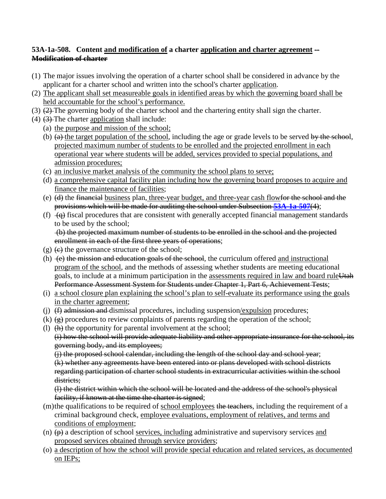## **53A-1a-508. Content and modification of a charter application and charter agreement -- Modification of charter**

- (1) The major issues involving the operation of a charter school shall be considered in advance by the applicant for a charter school and written into the school's charter application.
- (2) The applicant shall set measureable goals in identified areas by which the governing board shall be held accountable for the school's performance.
- (3) (2) The governing body of the charter school and the chartering entity shall sign the charter.
- (4) (3) The charter application shall include:
	- (a) the purpose and mission of the school;
	- (b)  $(a)$  the target population of the school, including the age or grade levels to be served by the school, projected maximum number of students to be enrolled and the projected enrollment in each operational year where students will be added, services provided to special populations, and admission procedures;
	- (c) an inclusive market analysis of the community the school plans to serve;
	- (d) a comprehensive capital facility plan including how the governing board proposes to acquire and finance the maintenance of facilities;
	- (e) (d) the financial business plan, three-year budget, and three-year cash flowfor the school and the provisions which will be made for auditing the school under Subsection **[53A-1a-507](http://le.utah.gov/~code/TITLE53A/htm/53A01a050700.htm)**(4);
	- (f)  $\left(\frac{1}{q}\right)$  fiscal procedures that are consistent with generally accepted financial management standards to be used by the school; (b) the projected maximum number of students to be enrolled in the school and the projected

enrollment in each of the first three years of operations;

- $(g)$  (e) the governance structure of the school;
- (h)  $\leftrightarrow$  the mission and education goals of the school, the curriculum offered and instructional program of the school, and the methods of assessing whether students are meeting educational goals, to include at a minimum participation in the assessments required in law and board ruleUtah Performance Assessment System for Students under Chapter 1, Part 6, Achievement Tests;
- (i) a school closure plan explaining the school's plan to self-evaluate its performance using the goals in the charter agreement;
- (i)  $(f)$  admission and dismissal procedures, including suspension/expulsion procedures;
- (k)  $\left(\frac{\mathbf{e}}{\mathbf{e}}\right)$  procedures to review complaints of parents regarding the operation of the school;
- (l) (h) the opportunity for parental involvement at the school;

(i) how the school will provide adequate liability and other appropriate insurance for the school, its governing body, and its employees;

(j) the proposed school calendar, including the length of the school day and school year; (k) whether any agreements have been entered into or plans developed with school districts regarding participation of charter school students in extracurricular activities within the school districts:

(l) the district within which the school will be located and the address of the school's physical facility, if known at the time the charter is signed;

- (m)the qualifications to be required of school employees the teachers, including the requirement of a criminal background check, employee evaluations, employment of relatives, and terms and conditions of employment;
- (n)  $(\rho)$  a description of school services, including administrative and supervisory services and proposed services obtained through service providers;
- (o) a description of how the school will provide special education and related services, as documented on IEPs;